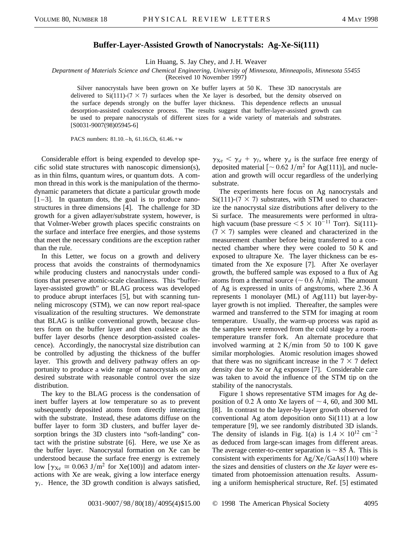## **Buffer-Layer-Assisted Growth of Nanocrystals: Ag-Xe-Si(111)**

Lin Huang, S. Jay Chey, and J. H. Weaver

*Department of Materials Science and Chemical Engineering, University of Minnesota, Minneapolis, Minnesota 55455*

(Received 10 November 1997)

Silver nanocrystals have been grown on Xe buffer layers at 50 K. These 3D nanocrystals are delivered to  $Si(111)-(7\times7)$  surfaces when the Xe layer is desorbed, but the density observed on the surface depends strongly on the buffer layer thickness. This dependence reflects an unusual desorption-assisted coalescence process. The results suggest that buffer-layer-assisted growth can be used to prepare nanocrystals of different sizes for a wide variety of materials and substrates. [S0031-9007(98)05945-6]

PACS numbers: 81.10. – h, 61.16. Ch, 61.46. + w

Considerable effort is being expended to develop specific solid state structures with nanoscopic dimension(s), as in thin films, quantum wires, or quantum dots. A common thread in this work is the manipulation of the thermodynamic parameters that dictate a particular growth mode  $[1-3]$ . In quantum dots, the goal is to produce nanostructures in three dimensions [4]. The challenge for 3D growth for a given adlayer/substrate system, however, is that Volmer-Weber growth places specific constraints on the surface and interface free energies, and those systems that meet the necessary conditions are the exception rather than the rule.

In this Letter, we focus on a growth and delivery process that avoids the constraints of thermodynamics while producing clusters and nanocrystals under conditions that preserve atomic-scale cleanliness. This "bufferlayer-assisted growth" or BLAG process was developed to produce abrupt interfaces [5], but with scanning tunneling microscopy (STM), we can now report real-space visualization of the resulting structures. We demonstrate that BLAG is unlike conventional growth, because clusters form on the buffer layer and then coalesce as the buffer layer desorbs (hence desorption-assisted coalescence). Accordingly, the nanocrystal size distribution can be controlled by adjusting the thickness of the buffer layer. This growth and delivery pathway offers an opportunity to produce a wide range of nanocrystals on any desired substrate with reasonable control over the size distribution.

The key to the BLAG process is the condensation of inert buffer layers at low temperature so as to prevent subsequently deposited atoms from directly interacting with the substrate. Instead, these adatoms diffuse on the buffer layer to form 3D clusters, and buffer layer desorption brings the 3D clusters into "soft-landing" contact with the pristine substrate [6]. Here, we use Xe as the buffer layer. Nanocrystal formation on Xe can be understood because the surface free energy is extremely low  $[\gamma_{Xe} \approx 0.063 \text{ J/m}^2 \text{ for Xe}(100)]$  and adatom interactions with Xe are weak, giving a low interface energy  $\gamma_i$ . Hence, the 3D growth condition is always satisfied,  $\gamma_{Xe} < \gamma_d + \gamma_l$ , where  $\gamma_d$  is the surface free energy of deposited material  $\lceil \sim 0.62 \text{ J/m}^2 \text{ for Ag}(111) \rceil$ , and nucleation and growth will occur regardless of the underlying substrate.

The experiments here focus on Ag nanocrystals and  $Si(111)-(7\times 7)$  substrates, with STM used to characterize the nanocrystal size distributions after delivery to the Si surface. The measurements were performed in ultrahigh vacuum (base pressure  $< 5 \times 10^{-11}$  Torr). Si(111)- $(7 \times 7)$  samples were cleaned and characterized in the measurement chamber before being transferred to a connected chamber where they were cooled to 50 K and exposed to ultrapure Xe. The layer thickness can be estimated from the Xe exposure [7]. After Xe overlayer growth, the buffered sample was exposed to a flux of Ag atoms from a thermal source ( $\sim$  0.6 Å/min). The amount of Ag is expressed in units of angstroms, where 2.36 Å represents 1 monolayer (ML) of Ag(111) but layer-bylayer growth is not implied. Thereafter, the samples were warmed and transferred to the STM for imaging at room temperature. Usually, the warm-up process was rapid as the samples were removed from the cold stage by a roomtemperature transfer fork. An alternate procedure that involved warming at  $2 K/min$  from 50 to 100 K gave similar morphologies. Atomic resolution images showed that there was no significant increase in the  $7 \times 7$  defect density due to Xe or Ag exposure [7]. Considerable care was taken to avoid the influence of the STM tip on the stability of the nanocrystals.

Figure 1 shows representative STM images for Ag deposition of 0.2 Å onto Xe layers of  $\sim$  4, 60, and 300 ML [8]. In contrast to the layer-by-layer growth observed for conventional Ag atom deposition onto Si(111) at a low temperature [9], we see randomly distributed 3D islands. The density of islands in Fig. 1(a) is  $1.4 \times 10^{12}$  cm<sup>-2</sup> as deduced from large-scan images from different areas. The average center-to-center separation is  $\sim 85$  Å. This is consistent with experiments for  $Ag/Xe/GaAs(110)$  where the sizes and densities of clusters *on the Xe layer* were estimated from photoemission attenuation results. Assuming a uniform hemispherical structure, Ref. [5] estimated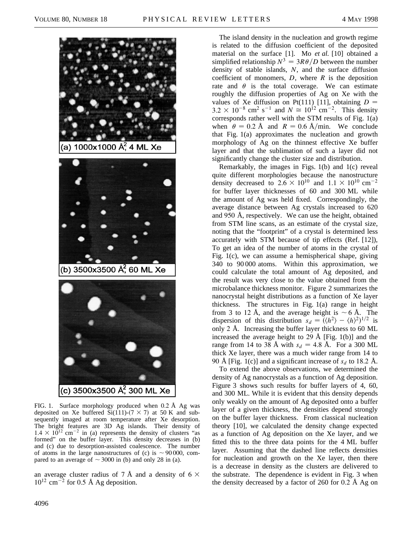

FIG. 1. Surface morphology produced when 0.2 Å Ag was deposited on Xe buffered  $Si(111)-(7 \times 7)$  at 50 K and subsequently imaged at room temperature after Xe desorption. The bright features are 3D Ag islands. Their density of  $1.4 \times 10^{12}$  cm<sup>-2</sup> in (a) represents the density of clusters "as formed" on the buffer layer. This density decreases in (b) and (c) due to desorption-assisted coalescence. The number of atoms in the large nanostructures of (c) is  $\sim$  90 000, compared to an average of  $\sim$  3000 in (b) and only 28 in (a).

an average cluster radius of 7 Å and a density of 6  $\times$  $10^{12}$  cm<sup>-2</sup> for 0.5 Å Ag deposition.

The island density in the nucleation and growth regime is related to the diffusion coefficient of the deposited material on the surface [1]. Mo *et al.* [10] obtained a simplified relationship  $N^3 = 3R\theta/D$  between the number density of stable islands, *N*, and the surface diffusion coefficient of monomers,  $D$ , where  $R$  is the deposition rate and  $\theta$  is the total coverage. We can estimate roughly the diffusion properties of Ag on Xe with the values of Xe diffusion on Pt(111) [11], obtaining  $D =$  $3.2 \times 10^{-8}$  cm<sup>2</sup> s<sup>-1</sup> and  $N \approx 10^{12}$  cm<sup>-2</sup>. This density corresponds rather well with the STM results of Fig. 1(a) when  $\theta = 0.2$  Å and  $R = 0.6$  Å/min. We conclude that Fig. 1(a) approximates the nucleation and growth morphology of Ag on the thinnest effective Xe buffer layer and that the sublimation of such a layer did not significantly change the cluster size and distribution.

Remarkably, the images in Figs. 1(b) and 1(c) reveal quite different morphologies because the nanostructure density decreased to  $2.6 \times 10^{10}$  and  $1.1 \times 10^{10}$  cm<sup>-2</sup> for buffer layer thicknesses of 60 and 300 ML while the amount of Ag was held fixed. Correspondingly, the average distance between Ag crystals increased to 620 and 950 Å, respectively. We can use the height, obtained from STM line scans, as an estimate of the crystal size, noting that the "footprint" of a crystal is determined less accurately with STM because of tip effects (Ref. [12]), To get an idea of the number of atoms in the crystal of Fig. 1(c), we can assume a hemispherical shape, giving 340 to 90 000 atoms. Within this approximation, we could calculate the total amount of Ag deposited, and the result was very close to the value obtained from the microbalance thickness monitor. Figure 2 summarizes the nanocrystal height distributions as a function of Xe layer thickness. The structures in Fig. 1(a) range in height from 3 to 12 Å, and the average height is  $\sim$  6 Å. The dispersion of this distribution  $s_d = (\langle h^2 \rangle - \langle h \rangle^2)^{1/2}$  is only 2 Å. Increasing the buffer layer thickness to 60 ML increased the average height to 29 Å [Fig. 1(b)] and the range from 14 to 38 Å with  $s_d = 4.8$  Å. For a 300 ML thick Xe layer, there was a much wider range from 14 to 90 Å [Fig. 1(c)] and a significant increase of  $s_d$  to 18.2 Å.

To extend the above observations, we determined the density of Ag nanocrystals as a function of Ag deposition. Figure 3 shows such results for buffer layers of 4, 60, and 300 ML. While it is evident that this density depends only weakly on the amount of Ag deposited onto a buffer layer of a given thickness, the densities depend strongly on the buffer layer thickness. From classical nucleation theory [10], we calculated the density change expected as a function of Ag deposition on the Xe layer, and we fitted this to the three data points for the 4 ML buffer layer. Assuming that the dashed line reflects densities for nucleation and growth on the Xe layer, then there is a decrease in density as the clusters are delivered to the substrate. The dependence is evident in Fig. 3 when the density decreased by a factor of 260 for 0.2 Å Ag on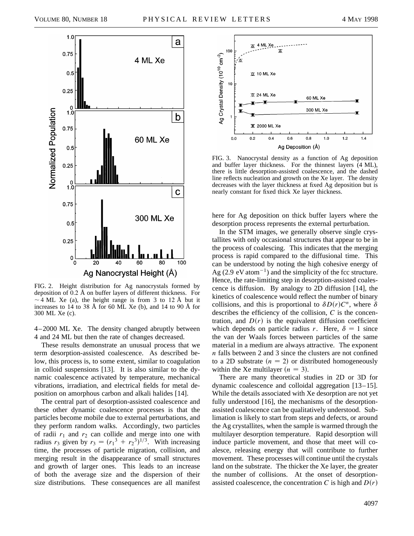

FIG. 2. Height distribution for Ag nanocrystals formed by deposition of 0.2 Å on buffer layers of different thickness. For  $\sim$  4 ML Xe (a), the height range is from 3 to 12 Å but it increases to 14 to 38 Å for 60 ML Xe (b), and 14 to 90 Å for 300 ML Xe (c).

4–2000 ML Xe. The density changed abruptly between 4 and 24 ML but then the rate of changes decreased.

These results demonstrate an unusual process that we term desorption-assisted coalescence. As described below, this process is, to some extent, similar to coagulation in colloid suspensions [13]. It is also similar to the dynamic coalescence activated by temperature, mechanical vibrations, irradiation, and electrical fields for metal deposition on amorphous carbon and alkali halides [14].

The central part of desorption-assisted coalescence and these other dynamic coalescence processes is that the particles become mobile due to external perturbations, and they perform random walks. Accordingly, two particles of radii  $r_1$  and  $r_2$  can collide and merge into one with radius  $r_3$  given by  $r_3 = (r_1^3 + r_2^3)^{1/3}$ . With increasing time, the processes of particle migration, collision, and merging result in the disappearance of small structures and growth of larger ones. This leads to an increase of both the average size and the dispersion of their size distributions. These consequences are all manifest



FIG. 3. Nanocrystal density as a function of Ag deposition and buffer layer thickness. For the thinnest layers (4 ML), there is little desorption-assisted coalescence, and the dashed line reflects nucleation and growth on the Xe layer. The density decreases with the layer thickness at fixed Ag deposition but is nearly constant for fixed thick Xe layer thickness.

here for Ag deposition on thick buffer layers where the desorption process represents the external perturbation.

In the STM images, we generally observe single crystallites with only occasional structures that appear to be in the process of coalescing. This indicates that the merging process is rapid compared to the diffusional time. This can be understood by noting the high cohesive energy of Ag (2.9 eV atom<sup> $-1$ </sup>) and the simplicity of the fcc structure. Hence, the rate-limiting step in desorption-assisted coalescence is diffusion. By analogy to 2D diffusion [14], the kinetics of coalescence would reflect the number of binary collisions, and this is proportional to  $\delta D(r)C^n$ , where  $\delta$ describes the efficiency of the collision, *C* is the concentration, and  $D(r)$  is the equivalent diffusion coefficient which depends on particle radius *r*. Here,  $\delta = 1$  since the van der Waals forces between particles of the same material in a medium are always attractive. The exponent *n* falls between 2 and 3 since the clusters are not confined to a 2D substrate  $(n = 2)$  or distributed homogeneously within the Xe multilayer  $(n = 3)$ .

There are many theoretical studies in 2D or 3D for dynamic coalescence and colloidal aggregation [13–15]. While the details associated with Xe desorption are not yet fully understood [16], the mechanisms of the desorptionassisted coalescence can be qualitatively understood. Sublimation is likely to start from steps and defects, or around the Ag crystallites, when the sample is warmed through the multilayer desorption temperature. Rapid desorption will induce particle movement, and those that meet will coalesce, releasing energy that will contribute to further movement. These processes will continue until the crystals land on the substrate. The thicker the Xe layer, the greater the number of collisions. At the onset of desorptionassisted coalescence, the concentration *C* is high and  $D(r)$